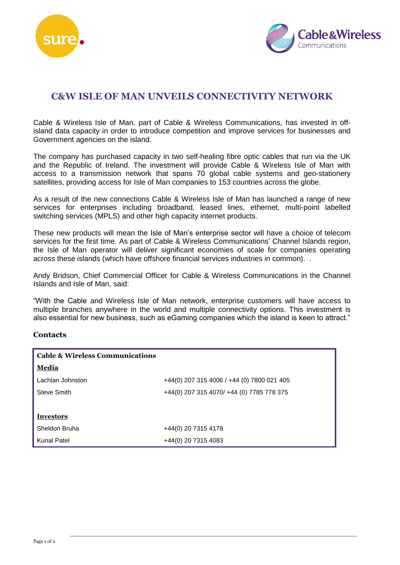



# **C&W ISLE OF MAN UNVEILS CONNECTIVITY NETWORK**

Cable & Wireless Isle of Man, part of Cable & Wireless Communications, has invested in offisland data capacity in order to introduce competition and improve services for businesses and Government agencies on the island.

The company has purchased capacity in two self-healing fibre optic cables that run via the UK and the Republic of Ireland. The investment will provide Cable & Wireless Isle of Man with access to a transmission network that spans 70 global cable systems and geo-stationery satellites, providing access for Isle of Man companies to 153 countries across the globe.

As a result of the new connections Cable & Wireless Isle of Man has launched a range of new services for enterprises including broadband, leased lines, ethernet, multi-point labelled switching services (MPLS) and other high capacity internet products.

These new products will mean the Isle of Man's enterprise sector will have a choice of telecom services for the first time. As part of Cable & Wireless Communications' Channel Islands region, the Isle of Man operator will deliver significant economies of scale for companies operating across these islands (which have offshore financial services industries in common). .

Andy Bridson, Chief Commercial Officer for Cable & Wireless Communications in the Channel Islands and Isle of Man, said:

"With the Cable and Wireless Isle of Man network, enterprise customers will have access to multiple branches anywhere in the world and multiple connectivity options. This investment is also essential for new business, such as eGaming companies which the island is keen to attract."

## **Contacts**

| <b>Cable &amp; Wireless Communications</b> |                                            |
|--------------------------------------------|--------------------------------------------|
| Media                                      |                                            |
| Lachlan Johnston                           | +44(0) 207 315 4006 / +44 (0) 7800 021 405 |
| Steve Smith                                | +44(0) 207 315 4070/ +44 (0) 7785 778 375  |
|                                            |                                            |
| <b>Investors</b>                           |                                            |
| Sheldon Bruha                              | +44(0) 20 7315 4178                        |
| Kunal Patel                                | +44(0) 20 7315 4083                        |